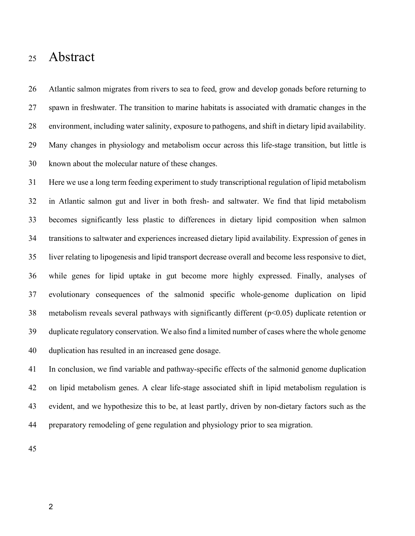# Life-stage associated remodeling of lipid metabolism

## regulation in Atlantic salmon

- 3 Gareth Gillard<sup>1\*</sup>, Thomas N. Harvey<sup>2\*</sup>, Arne Gjuvsland<sup>1</sup>, Yang Jin<sup>3</sup>, Magny Thomassen<sup>4</sup>, Sigbjørn
- 4 Lien<sup>2</sup>, Michael Leaver<sup>5</sup>, Jacob S. Torgersen<sup>6</sup>, Torgeir R. Hvidsten<sup>1</sup>, Jon Olav Vik<sup>2+</sup>, Simen R.
- 5 Sandve<sup>2</sup><sup>†</sup>
- \* shared first authors
- † shared corresponding authors
- *Affiliations:*
- *<sup>1</sup> Faculty of Chemistry, Biotechnology and Food Sciences, Norwegian University of Life Sciences, NO-1432 Ås,*
- *Norway*
- *<sup>2</sup> Centre for Integrative Genetics (CIGENE), Department of Animal and Aquacultural Sciences, Faculty of*
- *Biosciences, Norwegian University of Life Sciences, NO-1432 Ås, Norway*
- *3 Department of Biology, Norwegian University of Science and Technology, NO-7491 Trondheim, Norway.*
- *4 Department of Animal and Aquacultural Sciences, Faculty of Biosciences, Norwegian University of Life Sciences,*
- *NO-1432 Ås, Norway*
- *<sup>5</sup> Institute of Aquaculture, School of Natural Sciences, University of Stirling, Pathfoot Building, Stirling FK9 4LA,*
- *Scotland, UK*
- *<sup>6</sup> AquaGen AS, NO-1432 Ås, Norway*
- 
- *Keywords: transcriptomics, adaptation, fish, life-stage, metabolism*
- **Corresponding authors:**
- Simen Rød Sandve, simen.sandve@nmbu.no, +47 94870082, Jon Olav Vik, jonovik@gmail.com, +47 45882998
- **Running title:** Adaptive remodeling of lipid metabolism
- 
-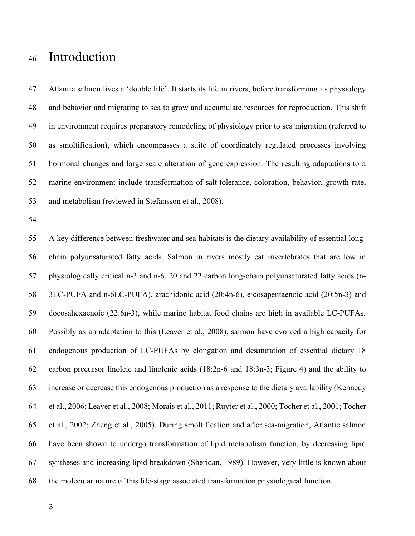## Abstract

 Atlantic salmon migrates from rivers to sea to feed, grow and develop gonads before returning to spawn in freshwater. The transition to marine habitats is associated with dramatic changes in the environment, including water salinity, exposure to pathogens, and shift in dietary lipid availability. Many changes in physiology and metabolism occur across this life-stage transition, but little is known about the molecular nature of these changes.

 Here we use a long term feeding experiment to study transcriptional regulation of lipid metabolism in Atlantic salmon gut and liver in both fresh- and saltwater. We find that lipid metabolism becomes significantly less plastic to differences in dietary lipid composition when salmon transitions to saltwater and experiences increased dietary lipid availability. Expression of genes in liver relating to lipogenesis and lipid transport decrease overall and become less responsive to diet, while genes for lipid uptake in gut become more highly expressed. Finally, analyses of evolutionary consequences of the salmonid specific whole-genome duplication on lipid metabolism reveals several pathways with significantly different (p<0.05) duplicate retention or duplicate regulatory conservation. We also find a limited number of cases where the whole genome duplication has resulted in an increased gene dosage.

 In conclusion, we find variable and pathway-specific effects of the salmonid genome duplication on lipid metabolism genes. A clear life-stage associated shift in lipid metabolism regulation is evident, and we hypothesize this to be, at least partly, driven by non-dietary factors such as the preparatory remodeling of gene regulation and physiology prior to sea migration.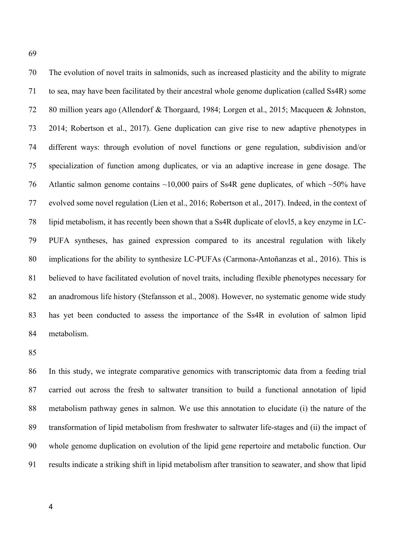## Introduction

 Atlantic salmon lives a 'double life'. It starts its life in rivers, before transforming its physiology and behavior and migrating to sea to grow and accumulate resources for reproduction. This shift in environment requires preparatory remodeling of physiology prior to sea migration (referred to as smoltification), which encompasses a suite of coordinately regulated processes involving hormonal changes and large scale alteration of gene expression. The resulting adaptations to a marine environment include transformation of salt-tolerance, coloration, behavior, growth rate, and metabolism (reviewed in Stefansson et al., 2008).

 A key difference between freshwater and sea-habitats is the dietary availability of essential long- chain polyunsaturated fatty acids. Salmon in rivers mostly eat invertebrates that are low in physiologically critical n-3 and n-6, 20 and 22 carbon long-chain polyunsaturated fatty acids (n- 3LC-PUFA and n-6LC-PUFA), arachidonic acid (20:4n-6), eicosapentaenoic acid (20:5n-3) and docosahexaenoic (22:6n-3), while marine habitat food chains are high in available LC-PUFAs. Possibly as an adaptation to this (Leaver et al., 2008), salmon have evolved a high capacity for endogenous production of LC-PUFAs by elongation and desaturation of essential dietary 18 carbon precursor linoleic and linolenic acids (18:2n-6 and 18:3n-3; Figure 4) and the ability to increase or decrease this endogenous production as a response to the dietary availability (Kennedy et al., 2006; Leaver et al., 2008; Morais et al., 2011; Ruyter et al., 2000; Tocher et al., 2001; Tocher et al., 2002; Zheng et al., 2005). During smoltification and after sea-migration, Atlantic salmon have been shown to undergo transformation of lipid metabolism function, by decreasing lipid syntheses and increasing lipid breakdown (Sheridan, 1989). However, very little is known about the molecular nature of this life-stage associated transformation physiological function.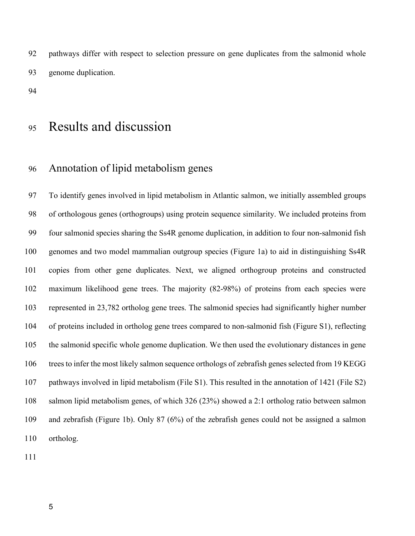The evolution of novel traits in salmonids, such as increased plasticity and the ability to migrate to sea, may have been facilitated by their ancestral whole genome duplication (called Ss4R) some 80 million years ago (Allendorf & Thorgaard, 1984; Lorgen et al., 2015; Macqueen & Johnston, 2014; Robertson et al., 2017). Gene duplication can give rise to new adaptive phenotypes in different ways: through evolution of novel functions or gene regulation, subdivision and/or specialization of function among duplicates, or via an adaptive increase in gene dosage. The 76 Atlantic salmon genome contains  $\sim$ 10,000 pairs of Ss4R gene duplicates, of which  $\sim$ 50% have evolved some novel regulation (Lien et al., 2016; Robertson et al., 2017). Indeed, in the context of lipid metabolism, it has recently been shown that a Ss4R duplicate of elovl5, a key enzyme in LC- PUFA syntheses, has gained expression compared to its ancestral regulation with likely implications for the ability to synthesize LC-PUFAs (Carmona-Antoñanzas et al., 2016). This is believed to have facilitated evolution of novel traits, including flexible phenotypes necessary for an anadromous life history (Stefansson et al., 2008). However, no systematic genome wide study has yet been conducted to assess the importance of the Ss4R in evolution of salmon lipid metabolism.

 In this study, we integrate comparative genomics with transcriptomic data from a feeding trial carried out across the fresh to saltwater transition to build a functional annotation of lipid metabolism pathway genes in salmon. We use this annotation to elucidate (i) the nature of the transformation of lipid metabolism from freshwater to saltwater life-stages and (ii) the impact of whole genome duplication on evolution of the lipid gene repertoire and metabolic function. Our results indicate a striking shift in lipid metabolism after transition to seawater, and show that lipid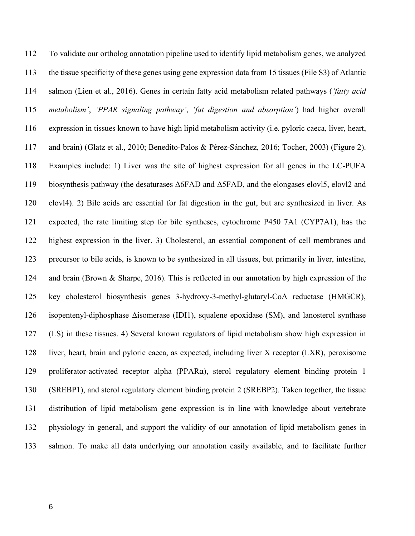pathways differ with respect to selection pressure on gene duplicates from the salmonid whole genome duplication.

## Results and discussion

### Annotation of lipid metabolism genes

 To identify genes involved in lipid metabolism in Atlantic salmon, we initially assembled groups of orthologous genes (orthogroups) using protein sequence similarity. We included proteins from four salmonid species sharing the Ss4R genome duplication, in addition to four non-salmonid fish genomes and two model mammalian outgroup species (Figure 1a) to aid in distinguishing Ss4R copies from other gene duplicates. Next, we aligned orthogroup proteins and constructed maximum likelihood gene trees. The majority (82-98%) of proteins from each species were represented in 23,782 ortholog gene trees. The salmonid species had significantly higher number of proteins included in ortholog gene trees compared to non-salmonid fish (Figure S1), reflecting the salmonid specific whole genome duplication. We then used the evolutionary distances in gene trees to infer the most likely salmon sequence orthologs of zebrafish genes selected from 19 KEGG pathways involved in lipid metabolism (File S1). This resulted in the annotation of 1421 (File S2) salmon lipid metabolism genes, of which 326 (23%) showed a 2:1 ortholog ratio between salmon and zebrafish (Figure 1b). Only 87 (6%) of the zebrafish genes could not be assigned a salmon ortholog.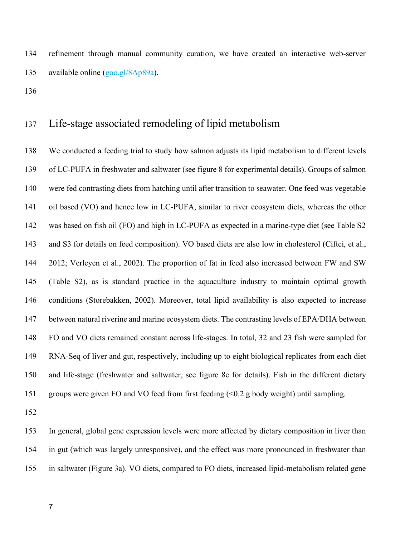To validate our ortholog annotation pipeline used to identify lipid metabolism genes, we analyzed the tissue specificity of these genes using gene expression data from 15 tissues (File S3) of Atlantic salmon (Lien et al., 2016). Genes in certain fatty acid metabolism related pathways (*'fatty acid metabolism'*, *'PPAR signaling pathway'*, *'fat digestion and absorption'*) had higher overall expression in tissues known to have high lipid metabolism activity (i.e. pyloric caeca, liver, heart, and brain) (Glatz et al., 2010; Benedito-Palos & Pérez-Sánchez, 2016; Tocher, 2003) (Figure 2). Examples include: 1) Liver was the site of highest expression for all genes in the LC-PUFA biosynthesis pathway (the desaturases Δ6FAD and Δ5FAD, and the elongases elovl5, elovl2 and elovl4). 2) Bile acids are essential for fat digestion in the gut, but are synthesized in liver. As expected, the rate limiting step for bile syntheses, cytochrome P450 7A1 (CYP7A1), has the highest expression in the liver. 3) Cholesterol, an essential component of cell membranes and precursor to bile acids, is known to be synthesized in all tissues, but primarily in liver, intestine, and brain (Brown & Sharpe, 2016). This is reflected in our annotation by high expression of the key cholesterol biosynthesis genes 3-hydroxy-3-methyl-glutaryl-CoA reductase (HMGCR), isopentenyl-diphosphase Δisomerase (IDI1), squalene epoxidase (SM), and lanosterol synthase (LS) in these tissues. 4) Several known regulators of lipid metabolism show high expression in liver, heart, brain and pyloric caeca, as expected, including liver X receptor (LXR), peroxisome proliferator-activated receptor alpha (PPARɑ), sterol regulatory element binding protein 1 (SREBP1), and sterol regulatory element binding protein 2 (SREBP2). Taken together, the tissue distribution of lipid metabolism gene expression is in line with knowledge about vertebrate physiology in general, and support the validity of our annotation of lipid metabolism genes in salmon. To make all data underlying our annotation easily available, and to facilitate further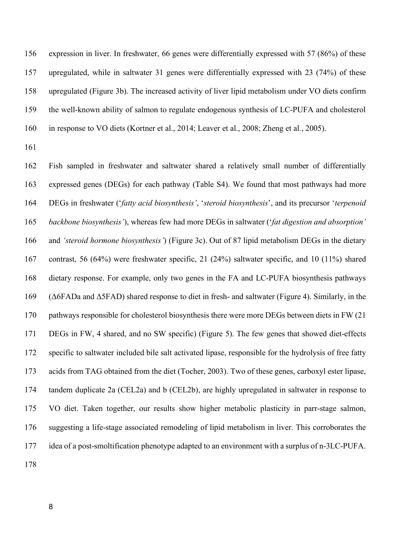refinement through manual community curation, we have created an interactive web-server available online (goo.gl/8Ap89a).

### Life-stage associated remodeling of lipid metabolism

 We conducted a feeding trial to study how salmon adjusts its lipid metabolism to different levels of LC-PUFA in freshwater and saltwater (see figure 8 for experimental details). Groups of salmon were fed contrasting diets from hatching until after transition to seawater. One feed was vegetable oil based (VO) and hence low in LC-PUFA, similar to river ecosystem diets, whereas the other was based on fish oil (FO) and high in LC-PUFA as expected in a marine-type diet (see Table S2 and S3 for details on feed composition). VO based diets are also low in cholesterol (Ciftci, et al., 2012; Verleyen et al., 2002). The proportion of fat in feed also increased between FW and SW (Table S2), as is standard practice in the aquaculture industry to maintain optimal growth conditions (Storebakken, 2002). Moreover, total lipid availability is also expected to increase between natural riverine and marine ecosystem diets. The contrasting levels of EPA/DHA between FO and VO diets remained constant across life-stages. In total, 32 and 23 fish were sampled for RNA-Seq of liver and gut, respectively, including up to eight biological replicates from each diet and life-stage (freshwater and saltwater, see figure 8c for details). Fish in the different dietary groups were given FO and VO feed from first feeding (<0.2 g body weight) until sampling.

 In general, global gene expression levels were more affected by dietary composition in liver than in gut (which was largely unresponsive), and the effect was more pronounced in freshwater than in saltwater (Figure 3a). VO diets, compared to FO diets, increased lipid-metabolism related gene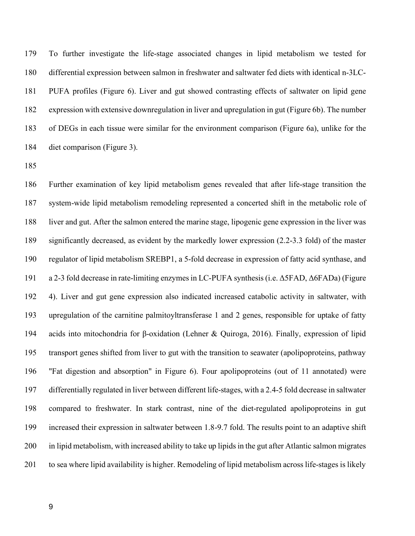expression in liver. In freshwater, 66 genes were differentially expressed with 57 (86%) of these upregulated, while in saltwater 31 genes were differentially expressed with 23 (74%) of these upregulated (Figure 3b). The increased activity of liver lipid metabolism under VO diets confirm the well-known ability of salmon to regulate endogenous synthesis of LC-PUFA and cholesterol in response to VO diets (Kortner et al., 2014; Leaver et al., 2008; Zheng et al., 2005).

 Fish sampled in freshwater and saltwater shared a relatively small number of differentially expressed genes (DEGs) for each pathway (Table S4). We found that most pathways had more DEGs in freshwater ('*fatty acid biosynthesis'*, '*steroid biosynthesis*', and its precursor '*terpenoid backbone biosynthesis'*), whereas few had more DEGs in saltwater ('*fat digestion and absorption'*  and *'steroid hormone biosynthesis'*) (Figure 3c). Out of 87 lipid metabolism DEGs in the dietary contrast, 56 (64%) were freshwater specific, 21 (24%) saltwater specific, and 10 (11%) shared dietary response. For example, only two genes in the FA and LC-PUFA biosynthesis pathways (Δ6FADa and Δ5FAD) shared response to diet in fresh- and saltwater (Figure 4). Similarly, in the pathways responsible for cholesterol biosynthesis there were more DEGs between diets in FW (21 DEGs in FW, 4 shared, and no SW specific) (Figure 5). The few genes that showed diet-effects specific to saltwater included bile salt activated lipase, responsible for the hydrolysis of free fatty acids from TAG obtained from the diet (Tocher, 2003). Two of these genes, carboxyl ester lipase, tandem duplicate 2a (CEL2a) and b (CEL2b), are highly upregulated in saltwater in response to VO diet. Taken together, our results show higher metabolic plasticity in parr-stage salmon, suggesting a life-stage associated remodeling of lipid metabolism in liver. This corroborates the idea of a post-smoltification phenotype adapted to an environment with a surplus of n-3LC-PUFA.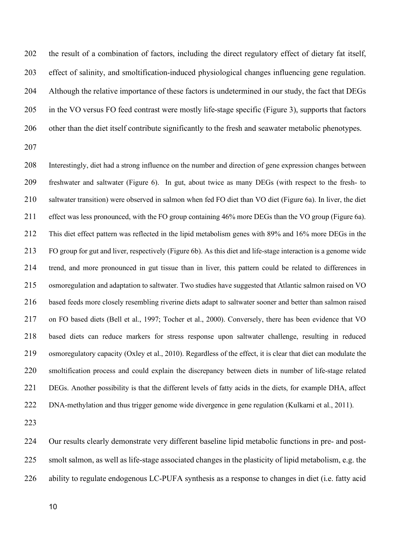To further investigate the life-stage associated changes in lipid metabolism we tested for differential expression between salmon in freshwater and saltwater fed diets with identical n-3LC- PUFA profiles (Figure 6). Liver and gut showed contrasting effects of saltwater on lipid gene expression with extensive downregulation in liver and upregulation in gut (Figure 6b). The number of DEGs in each tissue were similar for the environment comparison (Figure 6a), unlike for the diet comparison (Figure 3).

 Further examination of key lipid metabolism genes revealed that after life-stage transition the system-wide lipid metabolism remodeling represented a concerted shift in the metabolic role of liver and gut. After the salmon entered the marine stage, lipogenic gene expression in the liver was significantly decreased, as evident by the markedly lower expression (2.2-3.3 fold) of the master regulator of lipid metabolism SREBP1, a 5-fold decrease in expression of fatty acid synthase, and a 2-3 fold decrease in rate-limiting enzymes in LC-PUFA synthesis (i.e. Δ5FAD, Δ6FADa) (Figure 4). Liver and gut gene expression also indicated increased catabolic activity in saltwater, with upregulation of the carnitine palmitoyltransferase 1 and 2 genes, responsible for uptake of fatty acids into mitochondria for β-oxidation (Lehner & Quiroga, 2016). Finally, expression of lipid transport genes shifted from liver to gut with the transition to seawater (apolipoproteins, pathway "Fat digestion and absorption" in Figure 6). Four apolipoproteins (out of 11 annotated) were differentially regulated in liver between different life-stages, with a 2.4-5 fold decrease in saltwater compared to freshwater. In stark contrast, nine of the diet-regulated apolipoproteins in gut increased their expression in saltwater between 1.8-9.7 fold. The results point to an adaptive shift in lipid metabolism, with increased ability to take up lipids in the gut after Atlantic salmon migrates to sea where lipid availability is higher. Remodeling of lipid metabolism across life-stages is likely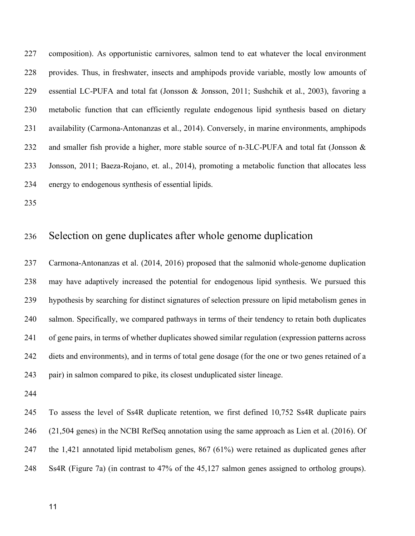the result of a combination of factors, including the direct regulatory effect of dietary fat itself, effect of salinity, and smoltification-induced physiological changes influencing gene regulation. Although the relative importance of these factors is undetermined in our study, the fact that DEGs in the VO versus FO feed contrast were mostly life-stage specific (Figure 3), supports that factors other than the diet itself contribute significantly to the fresh and seawater metabolic phenotypes.

 Interestingly, diet had a strong influence on the number and direction of gene expression changes between freshwater and saltwater (Figure 6). In gut, about twice as many DEGs (with respect to the fresh- to saltwater transition) were observed in salmon when fed FO diet than VO diet (Figure 6a). In liver, the diet effect was less pronounced, with the FO group containing 46% more DEGs than the VO group (Figure 6a). This diet effect pattern was reflected in the lipid metabolism genes with 89% and 16% more DEGs in the FO group for gut and liver, respectively (Figure 6b). As this diet and life-stage interaction is a genome wide trend, and more pronounced in gut tissue than in liver, this pattern could be related to differences in osmoregulation and adaptation to saltwater. Two studies have suggested that Atlantic salmon raised on VO based feeds more closely resembling riverine diets adapt to saltwater sooner and better than salmon raised on FO based diets (Bell et al., 1997; Tocher et al., 2000). Conversely, there has been evidence that VO based diets can reduce markers for stress response upon saltwater challenge, resulting in reduced osmoregulatory capacity (Oxley et al., 2010). Regardless of the effect, it is clear that diet can modulate the smoltification process and could explain the discrepancy between diets in number of life-stage related DEGs. Another possibility is that the different levels of fatty acids in the diets, for example DHA, affect DNA-methylation and thus trigger genome wide divergence in gene regulation (Kulkarni et al., 2011).

 Our results clearly demonstrate very different baseline lipid metabolic functions in pre- and post- smolt salmon, as well as life-stage associated changes in the plasticity of lipid metabolism, e.g. the ability to regulate endogenous LC-PUFA synthesis as a response to changes in diet (i.e. fatty acid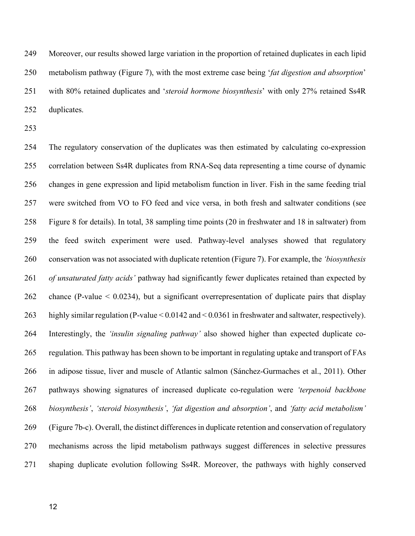composition). As opportunistic carnivores, salmon tend to eat whatever the local environment provides. Thus, in freshwater, insects and amphipods provide variable, mostly low amounts of essential LC-PUFA and total fat (Jonsson & Jonsson, 2011; Sushchik et al., 2003), favoring a metabolic function that can efficiently regulate endogenous lipid synthesis based on dietary availability (Carmona-Antonanzas et al., 2014). Conversely, in marine environments, amphipods 232 and smaller fish provide a higher, more stable source of n-3LC-PUFA and total fat (Jonsson & Jonsson, 2011; Baeza-Rojano, et. al., 2014), promoting a metabolic function that allocates less energy to endogenous synthesis of essential lipids.

### Selection on gene duplicates after whole genome duplication

 Carmona-Antonanzas et al. (2014, 2016) proposed that the salmonid whole-genome duplication may have adaptively increased the potential for endogenous lipid synthesis. We pursued this hypothesis by searching for distinct signatures of selection pressure on lipid metabolism genes in salmon. Specifically, we compared pathways in terms of their tendency to retain both duplicates of gene pairs, in terms of whether duplicates showed similar regulation (expression patterns across diets and environments), and in terms of total gene dosage (for the one or two genes retained of a pair) in salmon compared to pike, its closest unduplicated sister lineage.

 To assess the level of Ss4R duplicate retention, we first defined 10,752 Ss4R duplicate pairs (21,504 genes) in the NCBI RefSeq annotation using the same approach as Lien et al. (2016). Of the 1,421 annotated lipid metabolism genes, 867 (61%) were retained as duplicated genes after Ss4R (Figure 7a) (in contrast to 47% of the 45,127 salmon genes assigned to ortholog groups).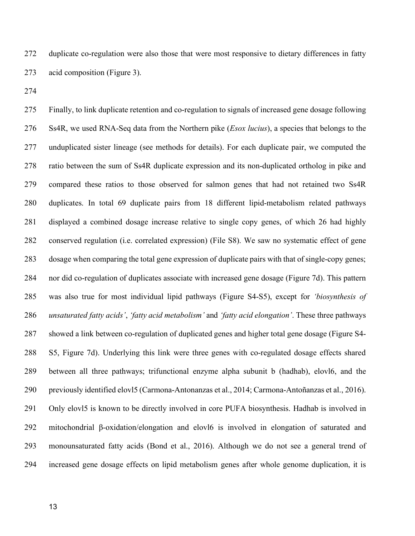Moreover, our results showed large variation in the proportion of retained duplicates in each lipid metabolism pathway (Figure 7), with the most extreme case being '*fat digestion and absorption*' with 80% retained duplicates and '*steroid hormone biosynthesis*' with only 27% retained Ss4R duplicates.

 The regulatory conservation of the duplicates was then estimated by calculating co-expression correlation between Ss4R duplicates from RNA-Seq data representing a time course of dynamic changes in gene expression and lipid metabolism function in liver. Fish in the same feeding trial were switched from VO to FO feed and vice versa, in both fresh and saltwater conditions (see Figure 8 for details). In total, 38 sampling time points (20 in freshwater and 18 in saltwater) from the feed switch experiment were used. Pathway-level analyses showed that regulatory conservation was not associated with duplicate retention (Figure 7). For example, the *'biosynthesis of unsaturated fatty acids'* pathway had significantly fewer duplicates retained than expected by chance (P-value < 0.0234), but a significant overrepresentation of duplicate pairs that display highly similar regulation (P-value < 0.0142 and < 0.0361 in freshwater and saltwater, respectively). Interestingly, the *'insulin signaling pathway'* also showed higher than expected duplicate co- regulation. This pathway has been shown to be important in regulating uptake and transport of FAs in adipose tissue, liver and muscle of Atlantic salmon (Sánchez-Gurmaches et al., 2011). Other pathways showing signatures of increased duplicate co-regulation were *'terpenoid backbone biosynthesis'*, *'steroid biosynthesis'*, *'fat digestion and absorption'*, and *'fatty acid metabolism'* (Figure 7b-c). Overall, the distinct differences in duplicate retention and conservation of regulatory mechanisms across the lipid metabolism pathways suggest differences in selective pressures shaping duplicate evolution following Ss4R. Moreover, the pathways with highly conserved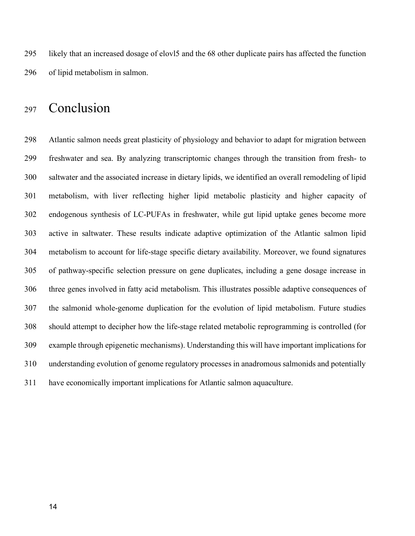duplicate co-regulation were also those that were most responsive to dietary differences in fatty acid composition (Figure 3).

 Finally, to link duplicate retention and co-regulation to signals of increased gene dosage following Ss4R, we used RNA-Seq data from the Northern pike (*Esox lucius*), a species that belongs to the unduplicated sister lineage (see methods for details). For each duplicate pair, we computed the ratio between the sum of Ss4R duplicate expression and its non-duplicated ortholog in pike and compared these ratios to those observed for salmon genes that had not retained two Ss4R duplicates. In total 69 duplicate pairs from 18 different lipid-metabolism related pathways displayed a combined dosage increase relative to single copy genes, of which 26 had highly conserved regulation (i.e. correlated expression) (File S8). We saw no systematic effect of gene dosage when comparing the total gene expression of duplicate pairs with that of single-copy genes; nor did co-regulation of duplicates associate with increased gene dosage (Figure 7d). This pattern was also true for most individual lipid pathways (Figure S4-S5), except for *'biosynthesis of unsaturated fatty acids'*, *'fatty acid metabolism'* and *'fatty acid elongation'*. These three pathways showed a link between co-regulation of duplicated genes and higher total gene dosage (Figure S4- S5, Figure 7d). Underlying this link were three genes with co-regulated dosage effects shared between all three pathways; trifunctional enzyme alpha subunit b (hadhab), elovl6, and the previously identified elovl5 (Carmona-Antonanzas et al., 2014; Carmona-Antoñanzas et al., 2016). Only elovl5 is known to be directly involved in core PUFA biosynthesis. Hadhab is involved in mitochondrial β-oxidation/elongation and elovl6 is involved in elongation of saturated and monounsaturated fatty acids (Bond et al., 2016). Although we do not see a general trend of increased gene dosage effects on lipid metabolism genes after whole genome duplication, it is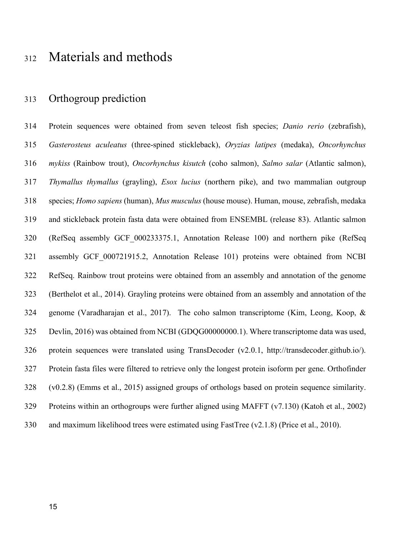likely that an increased dosage of elovl5 and the 68 other duplicate pairs has affected the function of lipid metabolism in salmon.

## Conclusion

 Atlantic salmon needs great plasticity of physiology and behavior to adapt for migration between freshwater and sea. By analyzing transcriptomic changes through the transition from fresh- to saltwater and the associated increase in dietary lipids, we identified an overall remodeling of lipid metabolism, with liver reflecting higher lipid metabolic plasticity and higher capacity of endogenous synthesis of LC-PUFAs in freshwater, while gut lipid uptake genes become more active in saltwater. These results indicate adaptive optimization of the Atlantic salmon lipid metabolism to account for life-stage specific dietary availability. Moreover, we found signatures of pathway-specific selection pressure on gene duplicates, including a gene dosage increase in three genes involved in fatty acid metabolism. This illustrates possible adaptive consequences of the salmonid whole-genome duplication for the evolution of lipid metabolism. Future studies should attempt to decipher how the life-stage related metabolic reprogramming is controlled (for example through epigenetic mechanisms). Understanding this will have important implications for understanding evolution of genome regulatory processes in anadromous salmonids and potentially have economically important implications for Atlantic salmon aquaculture.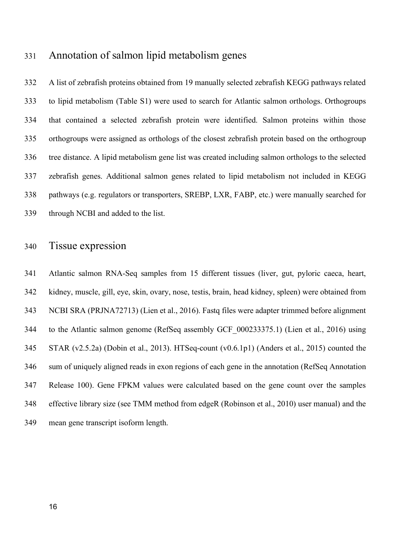## Materials and methods

### Orthogroup prediction

 Protein sequences were obtained from seven teleost fish species; *Danio rerio* (zebrafish), *Gasterosteus aculeatus* (three-spined stickleback), *Oryzias latipes* (medaka), *Oncorhynchus mykiss* (Rainbow trout), *Oncorhynchus kisutch* (coho salmon), *Salmo salar* (Atlantic salmon), *Thymallus thymallus* (grayling), *Esox lucius* (northern pike), and two mammalian outgroup species; *Homo sapiens* (human), *Mus musculus* (house mouse). Human, mouse, zebrafish, medaka and stickleback protein fasta data were obtained from ENSEMBL (release 83). Atlantic salmon (RefSeq assembly GCF\_000233375.1, Annotation Release 100) and northern pike (RefSeq assembly GCF\_000721915.2, Annotation Release 101) proteins were obtained from NCBI RefSeq. Rainbow trout proteins were obtained from an assembly and annotation of the genome (Berthelot et al., 2014). Grayling proteins were obtained from an assembly and annotation of the genome (Varadharajan et al., 2017). The coho salmon transcriptome (Kim, Leong, Koop, & Devlin, 2016) was obtained from NCBI (GDQG00000000.1). Where transcriptome data was used, protein sequences were translated using TransDecoder (v2.0.1, http://transdecoder.github.io/). Protein fasta files were filtered to retrieve only the longest protein isoform per gene. Orthofinder (v0.2.8) (Emms et al., 2015) assigned groups of orthologs based on protein sequence similarity. Proteins within an orthogroups were further aligned using MAFFT (v7.130) (Katoh et al., 2002) and maximum likelihood trees were estimated using FastTree (v2.1.8) (Price et al., 2010).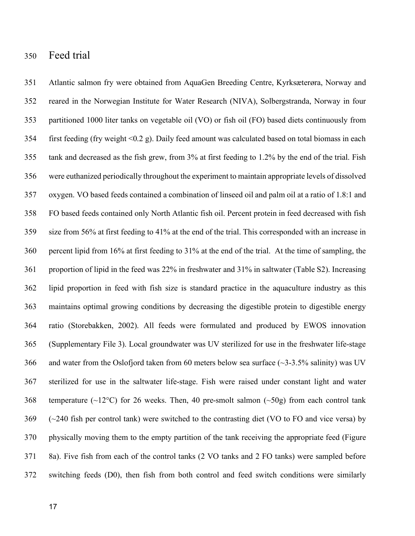### Annotation of salmon lipid metabolism genes

 A list of zebrafish proteins obtained from 19 manually selected zebrafish KEGG pathways related to lipid metabolism (Table S1) were used to search for Atlantic salmon orthologs. Orthogroups that contained a selected zebrafish protein were identified. Salmon proteins within those orthogroups were assigned as orthologs of the closest zebrafish protein based on the orthogroup tree distance. A lipid metabolism gene list was created including salmon orthologs to the selected zebrafish genes. Additional salmon genes related to lipid metabolism not included in KEGG pathways (e.g. regulators or transporters, SREBP, LXR, FABP, etc.) were manually searched for through NCBI and added to the list.

#### Tissue expression

 Atlantic salmon RNA-Seq samples from 15 different tissues (liver, gut, pyloric caeca, heart, kidney, muscle, gill, eye, skin, ovary, nose, testis, brain, head kidney, spleen) were obtained from NCBI SRA (PRJNA72713) (Lien et al., 2016). Fastq files were adapter trimmed before alignment to the Atlantic salmon genome (RefSeq assembly GCF\_000233375.1) (Lien et al., 2016) using STAR (v2.5.2a) (Dobin et al., 2013). HTSeq-count (v0.6.1p1) (Anders et al., 2015) counted the sum of uniquely aligned reads in exon regions of each gene in the annotation (RefSeq Annotation Release 100). Gene FPKM values were calculated based on the gene count over the samples effective library size (see TMM method from edgeR (Robinson et al., 2010) user manual) and the mean gene transcript isoform length.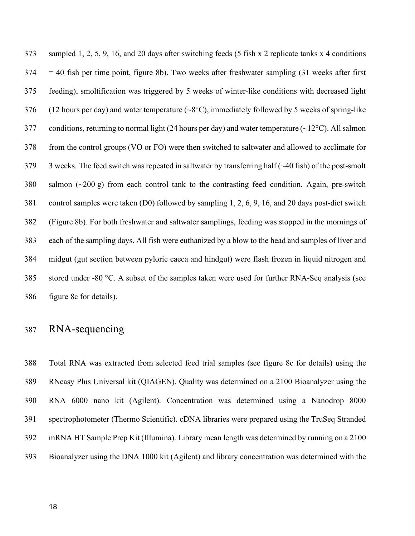#### Feed trial

 Atlantic salmon fry were obtained from AquaGen Breeding Centre, Kyrksæterøra, Norway and reared in the Norwegian Institute for Water Research (NIVA), Solbergstranda, Norway in four partitioned 1000 liter tanks on vegetable oil (VO) or fish oil (FO) based diets continuously from first feeding (fry weight <0.2 g). Daily feed amount was calculated based on total biomass in each tank and decreased as the fish grew, from 3% at first feeding to 1.2% by the end of the trial. Fish were euthanized periodically throughout the experiment to maintain appropriate levels of dissolved oxygen. VO based feeds contained a combination of linseed oil and palm oil at a ratio of 1.8:1 and FO based feeds contained only North Atlantic fish oil. Percent protein in feed decreased with fish size from 56% at first feeding to 41% at the end of the trial. This corresponded with an increase in percent lipid from 16% at first feeding to 31% at the end of the trial. At the time of sampling, the proportion of lipid in the feed was 22% in freshwater and 31% in saltwater (Table S2). Increasing lipid proportion in feed with fish size is standard practice in the aquaculture industry as this maintains optimal growing conditions by decreasing the digestible protein to digestible energy ratio (Storebakken, 2002). All feeds were formulated and produced by EWOS innovation (Supplementary File 3). Local groundwater was UV sterilized for use in the freshwater life-stage and water from the Oslofjord taken from 60 meters below sea surface (~3-3.5% salinity) was UV sterilized for use in the saltwater life-stage. Fish were raised under constant light and water 368 temperature ( $\sim$ 12°C) for 26 weeks. Then, 40 pre-smolt salmon ( $\sim$ 50g) from each control tank (~240 fish per control tank) were switched to the contrasting diet (VO to FO and vice versa) by physically moving them to the empty partition of the tank receiving the appropriate feed (Figure 8a). Five fish from each of the control tanks (2 VO tanks and 2 FO tanks) were sampled before switching feeds (D0), then fish from both control and feed switch conditions were similarly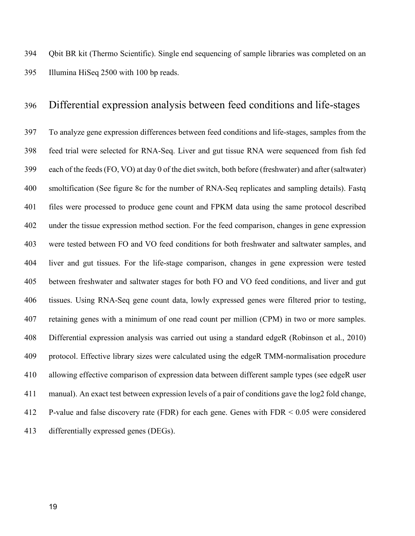sampled 1, 2, 5, 9, 16, and 20 days after switching feeds (5 fish x 2 replicate tanks x 4 conditions  $374 = 40$  fish per time point, figure 8b). Two weeks after freshwater sampling (31 weeks after first feeding), smoltification was triggered by 5 weeks of winter-like conditions with decreased light 376 (12 hours per day) and water temperature  $({\sim}8^{\circ}C)$ , immediately followed by 5 weeks of spring-like 377 conditions, returning to normal light (24 hours per day) and water temperature ( $\sim$ 12°C). All salmon from the control groups (VO or FO) were then switched to saltwater and allowed to acclimate for 3 weeks. The feed switch was repeated in saltwater by transferring half (~40 fish) of the post-smolt salmon (~200 g) from each control tank to the contrasting feed condition. Again, pre-switch control samples were taken (D0) followed by sampling 1, 2, 6, 9, 16, and 20 days post-diet switch (Figure 8b). For both freshwater and saltwater samplings, feeding was stopped in the mornings of each of the sampling days. All fish were euthanized by a blow to the head and samples of liver and midgut (gut section between pyloric caeca and hindgut) were flash frozen in liquid nitrogen and stored under -80 °C. A subset of the samples taken were used for further RNA-Seq analysis (see figure 8c for details).

#### RNA-sequencing

 Total RNA was extracted from selected feed trial samples (see figure 8c for details) using the RNeasy Plus Universal kit (QIAGEN). Quality was determined on a 2100 Bioanalyzer using the RNA 6000 nano kit (Agilent). Concentration was determined using a Nanodrop 8000 spectrophotometer (Thermo Scientific). cDNA libraries were prepared using the TruSeq Stranded mRNA HT Sample Prep Kit (Illumina). Library mean length was determined by running on a 2100 Bioanalyzer using the DNA 1000 kit (Agilent) and library concentration was determined with the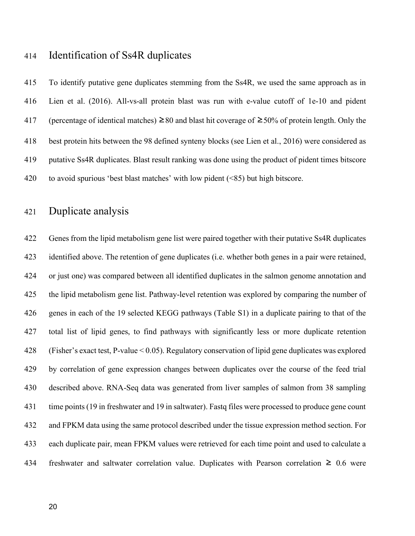Qbit BR kit (Thermo Scientific). Single end sequencing of sample libraries was completed on an Illumina HiSeq 2500 with 100 bp reads.

#### Differential expression analysis between feed conditions and life-stages

 To analyze gene expression differences between feed conditions and life-stages, samples from the feed trial were selected for RNA-Seq. Liver and gut tissue RNA were sequenced from fish fed each of the feeds (FO, VO) at day 0 of the diet switch, both before (freshwater) and after (saltwater) smoltification (See figure 8c for the number of RNA-Seq replicates and sampling details). Fastq files were processed to produce gene count and FPKM data using the same protocol described under the tissue expression method section. For the feed comparison, changes in gene expression were tested between FO and VO feed conditions for both freshwater and saltwater samples, and liver and gut tissues. For the life-stage comparison, changes in gene expression were tested between freshwater and saltwater stages for both FO and VO feed conditions, and liver and gut tissues. Using RNA-Seq gene count data, lowly expressed genes were filtered prior to testing, retaining genes with a minimum of one read count per million (CPM) in two or more samples. Differential expression analysis was carried out using a standard edgeR (Robinson et al., 2010) protocol. Effective library sizes were calculated using the edgeR TMM-normalisation procedure allowing effective comparison of expression data between different sample types (see edgeR user manual). An exact test between expression levels of a pair of conditions gave the log2 fold change, P-value and false discovery rate (FDR) for each gene. Genes with FDR < 0.05 were considered differentially expressed genes (DEGs).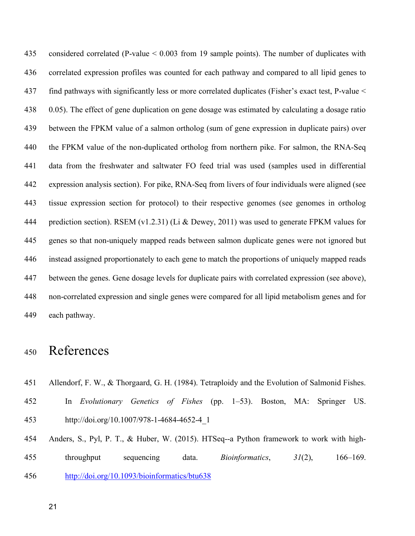#### Identification of Ss4R duplicates

 To identify putative gene duplicates stemming from the Ss4R, we used the same approach as in Lien et al. (2016). All-vs-all protein blast was run with e-value cutoff of 1e-10 and pident (percentage of identical matches) ≥80 and blast hit coverage of ≥50% of protein length. Only the best protein hits between the 98 defined synteny blocks (see Lien et al., 2016) were considered as putative Ss4R duplicates. Blast result ranking was done using the product of pident times bitscore to avoid spurious 'best blast matches' with low pident (<85) but high bitscore.

### Duplicate analysis

 Genes from the lipid metabolism gene list were paired together with their putative Ss4R duplicates identified above. The retention of gene duplicates (i.e. whether both genes in a pair were retained, or just one) was compared between all identified duplicates in the salmon genome annotation and the lipid metabolism gene list. Pathway-level retention was explored by comparing the number of genes in each of the 19 selected KEGG pathways (Table S1) in a duplicate pairing to that of the total list of lipid genes, to find pathways with significantly less or more duplicate retention (Fisher's exact test, P-value < 0.05). Regulatory conservation of lipid gene duplicates was explored by correlation of gene expression changes between duplicates over the course of the feed trial described above. RNA-Seq data was generated from liver samples of salmon from 38 sampling time points (19 in freshwater and 19 in saltwater). Fastq files were processed to produce gene count and FPKM data using the same protocol described under the tissue expression method section. For each duplicate pair, mean FPKM values were retrieved for each time point and used to calculate a 434 freshwater and saltwater correlation value. Duplicates with Pearson correlation  $\geq 0.6$  were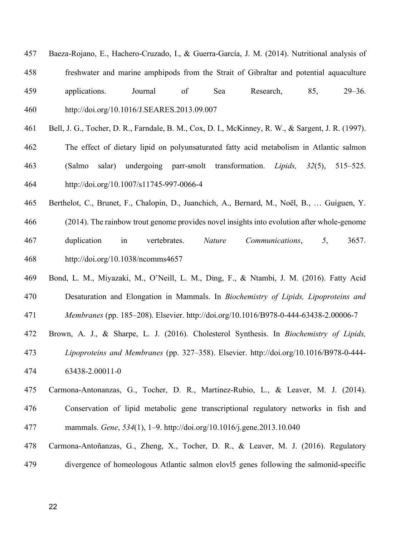considered correlated (P-value < 0.003 from 19 sample points). The number of duplicates with correlated expression profiles was counted for each pathway and compared to all lipid genes to find pathways with significantly less or more correlated duplicates (Fisher's exact test, P-value < 0.05). The effect of gene duplication on gene dosage was estimated by calculating a dosage ratio between the FPKM value of a salmon ortholog (sum of gene expression in duplicate pairs) over the FPKM value of the non-duplicated ortholog from northern pike. For salmon, the RNA-Seq data from the freshwater and saltwater FO feed trial was used (samples used in differential expression analysis section). For pike, RNA-Seq from livers of four individuals were aligned (see tissue expression section for protocol) to their respective genomes (see genomes in ortholog 444 prediction section). RSEM (v1.2.31) (Li & Dewey, 2011) was used to generate FPKM values for genes so that non-uniquely mapped reads between salmon duplicate genes were not ignored but instead assigned proportionately to each gene to match the proportions of uniquely mapped reads between the genes. Gene dosage levels for duplicate pairs with correlated expression (see above), non-correlated expression and single genes were compared for all lipid metabolism genes and for each pathway.

## References

- Allendorf, F. W., & Thorgaard, G. H. (1984). Tetraploidy and the Evolution of Salmonid Fishes.
- In *Evolutionary Genetics of Fishes* (pp. 1–53). Boston, MA: Springer US. http://doi.org/10.1007/978-1-4684-4652-4\_1
- Anders, S., Pyl, P. T., & Huber, W. (2015). HTSeq--a Python framework to work with high- throughput sequencing data. *Bioinformatics*, *31*(2), 166–169. http://doi.org/10.1093/bioinformatics/btu638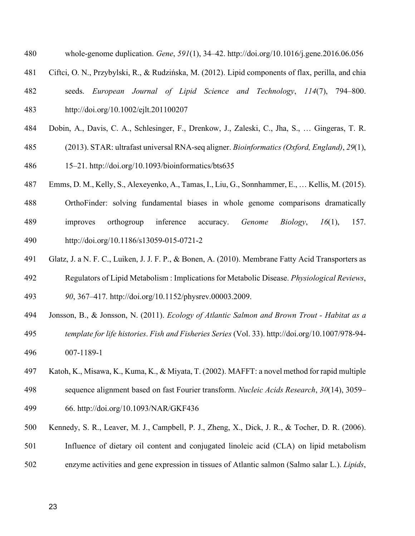- Baeza-Rojano, E., Hachero-Cruzado, I., & Guerra-García, J. M. (2014). Nutritional analysis of freshwater and marine amphipods from the Strait of Gibraltar and potential aquaculture applications. Journal of Sea Research, 85, 29–36. http://doi.org/10.1016/J.SEARES.2013.09.007
- Bell, J. G., Tocher, D. R., Farndale, B. M., Cox, D. I., McKinney, R. W., & Sargent, J. R. (1997).
- The effect of dietary lipid on polyunsaturated fatty acid metabolism in Atlantic salmon (Salmo salar) undergoing parr-smolt transformation. *Lipids, 32*(5), 515–525. http://doi.org/10.1007/s11745-997-0066-4
- Berthelot, C., Brunet, F., Chalopin, D., Juanchich, A., Bernard, M., Noël, B., … Guiguen, Y.
- (2014). The rainbow trout genome provides novel insights into evolution after whole-genome duplication in vertebrates. *Nature Communications*, *5*, 3657. http://doi.org/10.1038/ncomms4657
- Bond, L. M., Miyazaki, M., O'Neill, L. M., Ding, F., & Ntambi, J. M. (2016). Fatty Acid Desaturation and Elongation in Mammals. In *Biochemistry of Lipids, Lipoproteins and Membranes* (pp. 185–208). Elsevier. http://doi.org/10.1016/B978-0-444-63438-2.00006-7
- Brown, A. J., & Sharpe, L. J. (2016). Cholesterol Synthesis. In *Biochemistry of Lipids,*
- *Lipoproteins and Membranes* (pp. 327–358). Elsevier. http://doi.org/10.1016/B978-0-444- 63438-2.00011-0
- Carmona-Antonanzas, G., Tocher, D. R., Martinez-Rubio, L., & Leaver, M. J. (2014). Conservation of lipid metabolic gene transcriptional regulatory networks in fish and mammals. *Gene*, *534*(1), 1–9. http://doi.org/10.1016/j.gene.2013.10.040
- Carmona-Antoñanzas, G., Zheng, X., Tocher, D. R., & Leaver, M. J. (2016). Regulatory divergence of homeologous Atlantic salmon elovl5 genes following the salmonid-specific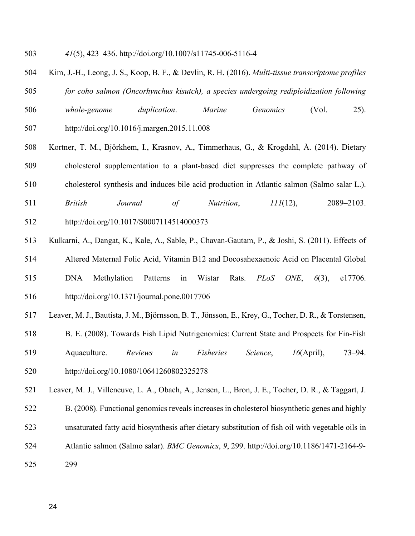- whole-genome duplication. *Gene*, *591*(1), 34–42. http://doi.org/10.1016/j.gene.2016.06.056
- Ciftci, O. N., Przybylski, R., & Rudzińska, M. (2012). Lipid components of flax, perilla, and chia
- seeds. *European Journal of Lipid Science and Technology*, *114*(7), 794–800. http://doi.org/10.1002/ejlt.201100207
- Dobin, A., Davis, C. A., Schlesinger, F., Drenkow, J., Zaleski, C., Jha, S., … Gingeras, T. R.
- (2013). STAR: ultrafast universal RNA-seq aligner. *Bioinformatics (Oxford, England)*, *29*(1),
- 15–21. http://doi.org/10.1093/bioinformatics/bts635
- Emms, D. M., Kelly, S., Alexeyenko, A., Tamas, I., Liu, G., Sonnhammer, E., … Kellis, M. (2015).
- OrthoFinder: solving fundamental biases in whole genome comparisons dramatically improves orthogroup inference accuracy. *Genome Biology*, *16*(1), 157. http://doi.org/10.1186/s13059-015-0721-2
- Glatz, J. a N. F. C., Luiken, J. J. F. P., & Bonen, A. (2010). Membrane Fatty Acid Transporters as
- Regulators of Lipid Metabolism : Implications for Metabolic Disease. *Physiological Reviews*, *90*, 367–417. http://doi.org/10.1152/physrev.00003.2009.
- Jonsson, B., & Jonsson, N. (2011). *Ecology of Atlantic Salmon and Brown Trout - Habitat as a template for life histories*. *Fish and Fisheries Series* (Vol. 33). http://doi.org/10.1007/978-94- 007-1189-1
- Katoh, K., Misawa, K., Kuma, K., & Miyata, T. (2002). MAFFT: a novel method for rapid multiple
- sequence alignment based on fast Fourier transform. *Nucleic Acids Research*, *30*(14), 3059–
- 66. http://doi.org/10.1093/NAR/GKF436
- Kennedy, S. R., Leaver, M. J., Campbell, P. J., Zheng, X., Dick, J. R., & Tocher, D. R. (2006).
- Influence of dietary oil content and conjugated linoleic acid (CLA) on lipid metabolism
- enzyme activities and gene expression in tissues of Atlantic salmon (Salmo salar L.). *Lipids*,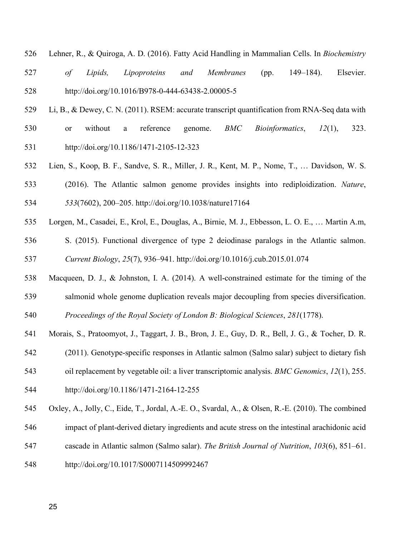*41*(5), 423–436. http://doi.org/10.1007/s11745-006-5116-4

- Kim, J.-H., Leong, J. S., Koop, B. F., & Devlin, R. H. (2016). *Multi-tissue transcriptome profiles for coho salmon (Oncorhynchus kisutch), a species undergoing rediploidization following whole-genome duplication*. *Marine Genomics* (Vol. 25). http://doi.org/10.1016/j.margen.2015.11.008
- Kortner, T. M., Björkhem, I., Krasnov, A., Timmerhaus, G., & Krogdahl, Å. (2014). Dietary cholesterol supplementation to a plant-based diet suppresses the complete pathway of
- cholesterol synthesis and induces bile acid production in Atlantic salmon (Salmo salar L.).
- *British Journal of Nutrition*, *111*(12), 2089–2103.
- http://doi.org/10.1017/S0007114514000373
- Kulkarni, A., Dangat, K., Kale, A., Sable, P., Chavan-Gautam, P., & Joshi, S. (2011). Effects of Altered Maternal Folic Acid, Vitamin B12 and Docosahexaenoic Acid on Placental Global DNA Methylation Patterns in Wistar Rats. *PLoS ONE*, *6*(3), e17706. http://doi.org/10.1371/journal.pone.0017706
- Leaver, M. J., Bautista, J. M., Björnsson, B. T., Jönsson, E., Krey, G., Tocher, D. R., & Torstensen,
- B. E. (2008). Towards Fish Lipid Nutrigenomics: Current State and Prospects for Fin-Fish
- Aquaculture. *Reviews in Fisheries Science*, *16*(April), 73–94. http://doi.org/10.1080/10641260802325278
- Leaver, M. J., Villeneuve, L. A., Obach, A., Jensen, L., Bron, J. E., Tocher, D. R., & Taggart, J. B. (2008). Functional genomics reveals increases in cholesterol biosynthetic genes and highly unsaturated fatty acid biosynthesis after dietary substitution of fish oil with vegetable oils in
- Atlantic salmon (Salmo salar). *BMC Genomics*, *9*, 299. http://doi.org/10.1186/1471-2164-9-
- 299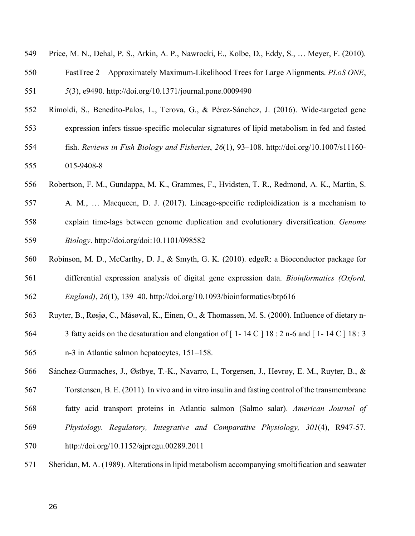- Lehner, R., & Quiroga, A. D. (2016). Fatty Acid Handling in Mammalian Cells. In *Biochemistry*
- *of Lipids, Lipoproteins and Membranes* (pp. 149–184). Elsevier. http://doi.org/10.1016/B978-0-444-63438-2.00005-5
- Li, B., & Dewey, C. N. (2011). RSEM: accurate transcript quantification from RNA-Seq data with
- or without a reference genome. *BMC Bioinformatics*, *12*(1), 323. http://doi.org/10.1186/1471-2105-12-323
- Lien, S., Koop, B. F., Sandve, S. R., Miller, J. R., Kent, M. P., Nome, T., … Davidson, W. S. (2016). The Atlantic salmon genome provides insights into rediploidization. *Nature*, *533*(7602), 200–205. http://doi.org/10.1038/nature17164
- Lorgen, M., Casadei, E., Krol, E., Douglas, A., Birnie, M. J., Ebbesson, L. O. E., … Martin A.m,
- S. (2015). Functional divergence of type 2 deiodinase paralogs in the Atlantic salmon. *Current Biology*, *25*(7), 936–941. http://doi.org/10.1016/j.cub.2015.01.074
- Macqueen, D. J., & Johnston, I. A. (2014). A well-constrained estimate for the timing of the salmonid whole genome duplication reveals major decoupling from species diversification.
- *Proceedings of the Royal Society of London B: Biological Sciences*, *281*(1778).
- Morais, S., Pratoomyot, J., Taggart, J. B., Bron, J. E., Guy, D. R., Bell, J. G., & Tocher, D. R.
- (2011). Genotype-specific responses in Atlantic salmon (Salmo salar) subject to dietary fish
- oil replacement by vegetable oil: a liver transcriptomic analysis. *BMC Genomics*, *12*(1), 255.
- http://doi.org/10.1186/1471-2164-12-255
- Oxley, A., Jolly, C., Eide, T., Jordal, A.-E. O., Svardal, A., & Olsen, R.-E. (2010). The combined
- impact of plant-derived dietary ingredients and acute stress on the intestinal arachidonic acid
- cascade in Atlantic salmon (Salmo salar). *The British Journal of Nutrition*, *103*(6), 851–61.
- http://doi.org/10.1017/S0007114509992467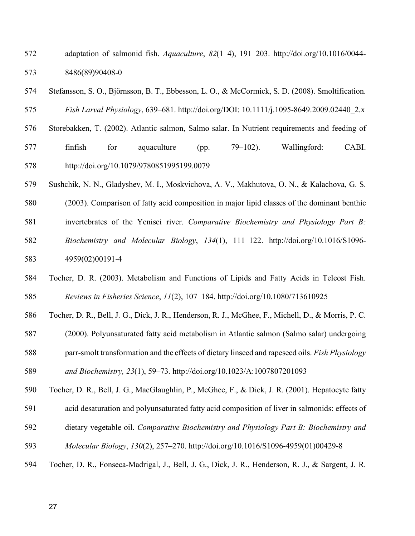- Price, M. N., Dehal, P. S., Arkin, A. P., Nawrocki, E., Kolbe, D., Eddy, S., … Meyer, F. (2010).
- FastTree 2 Approximately Maximum-Likelihood Trees for Large Alignments. *PLoS ONE*,

*5*(3), e9490. http://doi.org/10.1371/journal.pone.0009490

- Rimoldi, S., Benedito-Palos, L., Terova, G., & Pérez-Sánchez, J. (2016). Wide-targeted gene
- expression infers tissue-specific molecular signatures of lipid metabolism in fed and fasted
- fish. *Reviews in Fish Biology and Fisheries*, *26*(1), 93–108. http://doi.org/10.1007/s11160- 015-9408-8
- Robertson, F. M., Gundappa, M. K., Grammes, F., Hvidsten, T. R., Redmond, A. K., Martin, S.
- A. M., … Macqueen, D. J. (2017). Lineage-specific rediploidization is a mechanism to explain time-lags between genome duplication and evolutionary diversification. *Genome Biology*. http://doi.org/doi:10.1101/098582
- Robinson, M. D., McCarthy, D. J., & Smyth, G. K. (2010). edgeR: a Bioconductor package for differential expression analysis of digital gene expression data. *Bioinformatics (Oxford, England)*, *26*(1), 139–40. http://doi.org/10.1093/bioinformatics/btp616
- Ruyter, B., Røsjø, C., Måsøval, K., Einen, O., & Thomassen, M. S. (2000). Influence of dietary n-
- 3 fatty acids on the desaturation and elongation of [ 1- 14 C ] 18 : 2 n-6 and [ 1- 14 C ] 18 : 3 n-3 in Atlantic salmon hepatocytes, 151–158.
- Sánchez-Gurmaches, J., Østbye, T.-K., Navarro, I., Torgersen, J., Hevrøy, E. M., Ruyter, B., &
- Torstensen, B. E. (2011). In vivo and in vitro insulin and fasting control of the transmembrane
- fatty acid transport proteins in Atlantic salmon (Salmo salar). *American Journal of*
- *Physiology. Regulatory, Integrative and Comparative Physiology, 301*(4), R947-57.
- http://doi.org/10.1152/ajpregu.00289.2011
- Sheridan, M. A. (1989). Alterations in lipid metabolism accompanying smoltification and seawater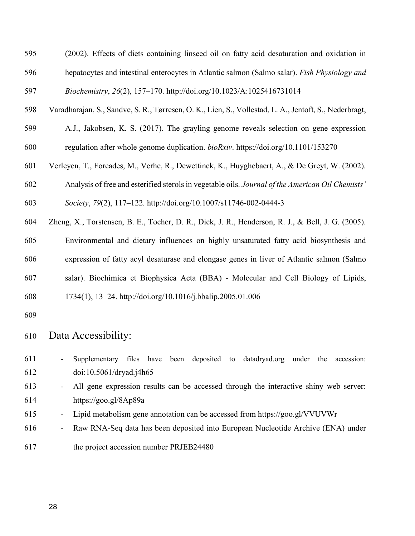- adaptation of salmonid fish. *Aquaculture*, *82*(1–4), 191–203. http://doi.org/10.1016/0044- 8486(89)90408-0
- Stefansson, S. O., Björnsson, B. T., Ebbesson, L. O., & McCormick, S. D. (2008). Smoltification. *Fish Larval Physiology*, 639–681. http://doi.org/DOI: 10.1111/j.1095-8649.2009.02440\_2.x
- Storebakken, T. (2002). Atlantic salmon, Salmo salar. In Nutrient requirements and feeding of finfish for aquaculture (pp. 79–102). Wallingford: CABI.

http://doi.org/10.1079/9780851995199.0079

- Sushchik, N. N., Gladyshev, M. I., Moskvichova, A. V., Makhutova, O. N., & Kalachova, G. S.
- (2003). Comparison of fatty acid composition in major lipid classes of the dominant benthic
- invertebrates of the Yenisei river. *Comparative Biochemistry and Physiology Part B:*
- *Biochemistry and Molecular Biology*, *134*(1), 111–122. http://doi.org/10.1016/S1096- 4959(02)00191-4
- Tocher, D. R. (2003). Metabolism and Functions of Lipids and Fatty Acids in Teleost Fish. *Reviews in Fisheries Science*, *11*(2), 107–184. http://doi.org/10.1080/713610925
- Tocher, D. R., Bell, J. G., Dick, J. R., Henderson, R. J., McGhee, F., Michell, D., & Morris, P. C.
- (2000). Polyunsaturated fatty acid metabolism in Atlantic salmon (Salmo salar) undergoing
- parr-smolt transformation and the effects of dietary linseed and rapeseed oils. *Fish Physiology*

*and Biochemistry, 23*(1), 59–73. http://doi.org/10.1023/A:1007807201093

- Tocher, D. R., Bell, J. G., MacGlaughlin, P., McGhee, F., & Dick, J. R. (2001). Hepatocyte fatty
- acid desaturation and polyunsaturated fatty acid composition of liver in salmonids: effects of
- dietary vegetable oil. *Comparative Biochemistry and Physiology Part B: Biochemistry and*
- *Molecular Biology*, *130*(2), 257–270. http://doi.org/10.1016/S1096-4959(01)00429-8
- Tocher, D. R., Fonseca-Madrigal, J., Bell, J. G., Dick, J. R., Henderson, R. J., & Sargent, J. R.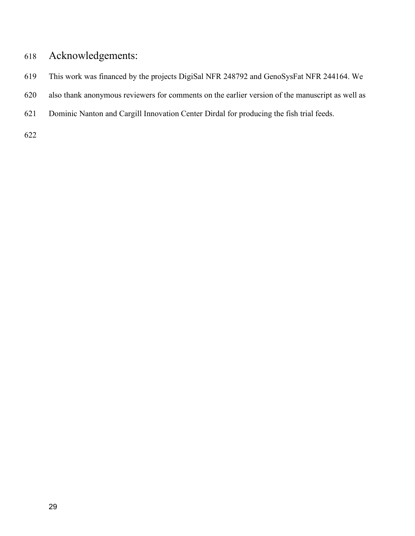- (2002). Effects of diets containing linseed oil on fatty acid desaturation and oxidation in hepatocytes and intestinal enterocytes in Atlantic salmon (Salmo salar). *Fish Physiology and Biochemistry*, *26*(2), 157–170. http://doi.org/10.1023/A:1025416731014
- Varadharajan, S., Sandve, S. R., Tørresen, O. K., Lien, S., Vollestad, L. A., Jentoft, S., Nederbragt,
- A.J., Jakobsen, K. S. (2017). The grayling genome reveals selection on gene expression regulation after whole genome duplication. *bioRxiv*. https://doi.org/10.1101/153270
- Verleyen, T., Forcades, M., Verhe, R., Dewettinck, K., Huyghebaert, A., & De Greyt, W. (2002).
- Analysis of free and esterified sterols in vegetable oils. *Journal of the American Oil Chemists'*
- *Society*, *79*(2), 117–122. http://doi.org/10.1007/s11746-002-0444-3
- Zheng, X., Torstensen, B. E., Tocher, D. R., Dick, J. R., Henderson, R. J., & Bell, J. G. (2005).
- Environmental and dietary influences on highly unsaturated fatty acid biosynthesis and expression of fatty acyl desaturase and elongase genes in liver of Atlantic salmon (Salmo
- salar). Biochimica et Biophysica Acta (BBA) Molecular and Cell Biology of Lipids,
- 1734(1), 13–24. http://doi.org/10.1016/j.bbalip.2005.01.006
- 

#### Data Accessibility:

- Supplementary files have been deposited to datadryad.org under the accession: doi:10.5061/dryad.j4h65
- All gene expression results can be accessed through the interactive shiny web server: https://goo.gl/8Ap89a
- Lipid metabolism gene annotation can be accessed from https://goo.gl/VVUVWr
- Raw RNA-Seq data has been deposited into European Nucleotide Archive (ENA) under
- the project accession number PRJEB24480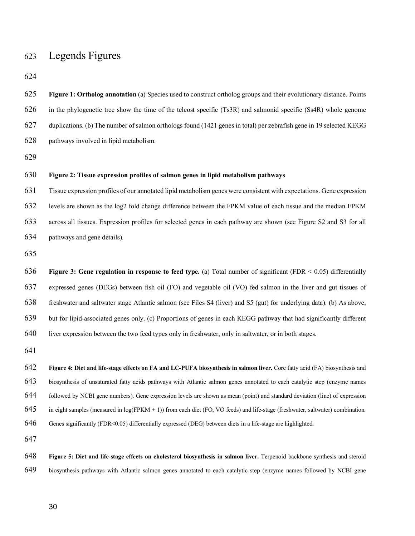## Acknowledgements:

- This work was financed by the projects DigiSal NFR 248792 and GenoSysFat NFR 244164. We
- also thank anonymous reviewers for comments on the earlier version of the manuscript as well as
- Dominic Nanton and Cargill Innovation Center Dirdal for producing the fish trial feeds.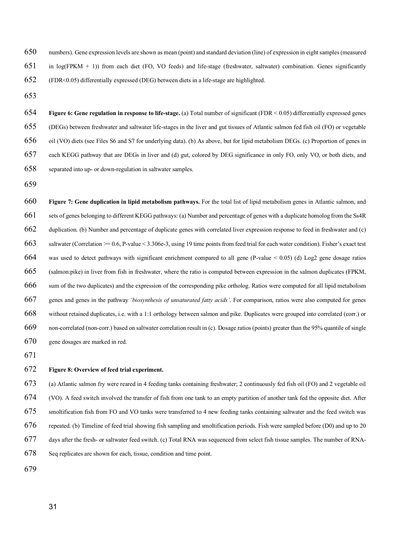# Legends Figures

| 625 | Figure 1: Ortholog annotation (a) Species used to construct ortholog groups and their evolutionary distance. Points               |
|-----|-----------------------------------------------------------------------------------------------------------------------------------|
| 626 | in the phylogenetic tree show the time of the teleost specific (Ts3R) and salmonid specific (Ss4R) whole genome                   |
| 627 | duplications. (b) The number of salmon orthologs found (1421 genes in total) per zebrafish gene in 19 selected KEGG               |
| 628 | pathways involved in lipid metabolism.                                                                                            |
| 629 |                                                                                                                                   |
| 630 | Figure 2: Tissue expression profiles of salmon genes in lipid metabolism pathways                                                 |
| 631 | Tissue expression profiles of our annotated lipid metabolism genes were consistent with expectations. Gene expression             |
| 632 | levels are shown as the log2 fold change difference between the FPKM value of each tissue and the median FPKM                     |
| 633 | across all tissues. Expression profiles for selected genes in each pathway are shown (see Figure S2 and S3 for all                |
| 634 | pathways and gene details).                                                                                                       |
| 635 |                                                                                                                                   |
| 636 | Figure 3: Gene regulation in response to feed type. (a) Total number of significant (FDR $< 0.05$ ) differentially                |
| 637 | expressed genes (DEGs) between fish oil (FO) and vegetable oil (VO) fed salmon in the liver and gut tissues of                    |
| 638 | freshwater and saltwater stage Atlantic salmon (see Files S4 (liver) and S5 (gut) for underlying data). (b) As above,             |
| 639 | but for lipid-associated genes only. (c) Proportions of genes in each KEGG pathway that had significantly different               |
| 640 | liver expression between the two feed types only in freshwater, only in saltwater, or in both stages.                             |
| 641 |                                                                                                                                   |
| 642 | Figure 4: Diet and life-stage effects on FA and LC-PUFA biosynthesis in salmon liver. Core fatty acid (FA) biosynthesis and       |
| 643 | biosynthesis of unsaturated fatty acids pathways with Atlantic salmon genes annotated to each catalytic step (enzyme names        |
| 644 | followed by NCBI gene numbers). Gene expression levels are shown as mean (point) and standard deviation (line) of expression      |
| 645 | in eight samples (measured in $log(FPKM + 1)$ ) from each diet (FO, VO feeds) and life-stage (freshwater, saltwater) combination. |
| 646 | Genes significantly (FDR<0.05) differentially expressed (DEG) between diets in a life-stage are highlighted.                      |
| 647 |                                                                                                                                   |
| 648 | Figure 5: Diet and life-stage effects on cholesterol biosynthesis in salmon liver. Terpenoid backbone synthesis and steroid       |

biosynthesis pathways with Atlantic salmon genes annotated to each catalytic step (enzyme names followed by NCBI gene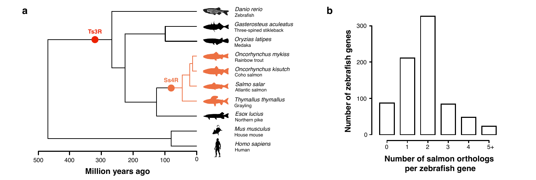numbers). Gene expression levels are shown as mean (point) and standard deviation (line) of expression in eight samples (measured in log(FPKM + 1)) from each diet (FO, VO feeds) and life-stage (freshwater, saltwater) combination. Genes significantly (FDR<0.05) differentially expressed (DEG) between diets in a life-stage are highlighted.

 **Figure 6: Gene regulation in response to life-stage.** (a) Total number of significant (FDR < 0.05) differentially expressed genes (DEGs) between freshwater and saltwater life-stages in the liver and gut tissues of Atlantic salmon fed fish oil (FO) or vegetable oil (VO) diets (see Files S6 and S7 for underlying data). (b) As above, but for lipid metabolism DEGs. (c) Proportion of genes in each KEGG pathway that are DEGs in liver and (d) gut, colored by DEG significance in only FO, only VO, or both diets, and separated into up- or down-regulation in saltwater samples.

 **Figure 7: Gene duplication in lipid metabolism pathways.** For the total list of lipid metabolism genes in Atlantic salmon, and sets of genes belonging to different KEGG pathways: (a) Number and percentage of genes with a duplicate homolog from the Ss4R duplication. (b) Number and percentage of duplicate genes with correlated liver expression response to feed in freshwater and (c) saltwater (Correlation >= 0.6, P-value < 3.306e-3, using 19 time points from feed trial for each water condition). Fisher's exact test 664 was used to detect pathways with significant enrichment compared to all gene (P-value  $\lt 0.05$ ) (d) Log2 gene dosage ratios (salmon:pike) in liver from fish in freshwater, where the ratio is computed between expression in the salmon duplicates (FPKM, sum of the two duplicates) and the expression of the corresponding pike ortholog. Ratios were computed for all lipid metabolism genes and genes in the pathway *'biosynthesis of unsaturated fatty acids'*. For comparison, ratios were also computed for genes without retained duplicates, i.e. with a 1:1 orthology between salmon and pike. Duplicates were grouped into correlated (corr.) or non-correlated (non-corr.) based on saltwater correlation result in (c). Dosage ratios (points) greater than the 95% quantile of single gene dosages are marked in red.

#### **Figure 8: Overview of feed trial experiment.**

 (a) Atlantic salmon fry were reared in 4 feeding tanks containing freshwater; 2 continuously fed fish oil (FO) and 2 vegetable oil (VO). A feed switch involved the transfer of fish from one tank to an empty partition of another tank fed the opposite diet. After smoltification fish from FO and VO tanks were transferred to 4 new feeding tanks containing saltwater and the feed switch was repeated. (b) Timeline of feed trial showing fish sampling and smoltification periods. Fish were sampled before (D0) and up to 20 days after the fresh- or saltwater feed switch. (c) Total RNA was sequenced from select fish tissue samples. The number of RNA-Seq replicates are shown for each, tissue, condition and time point.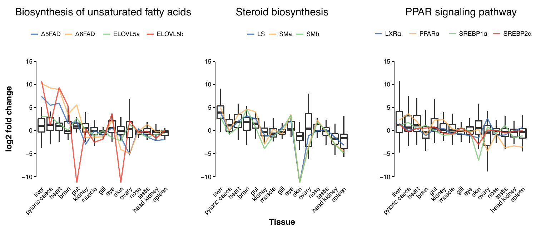



**b**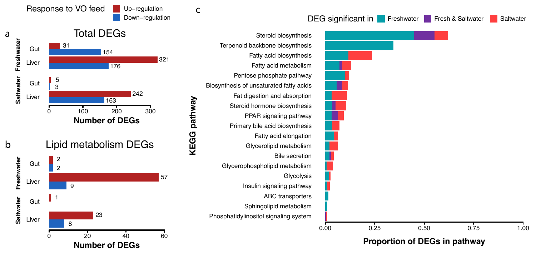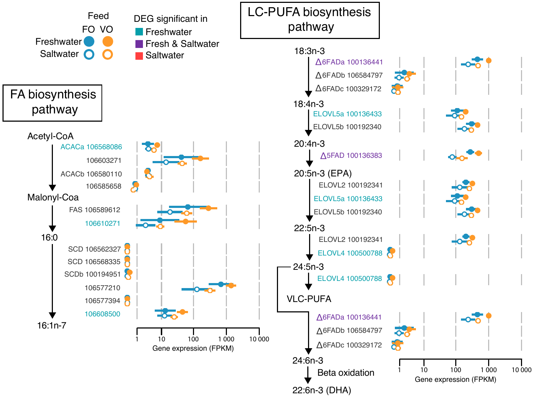

**Number of DEGs**

**Proportion of DEGs in pathway**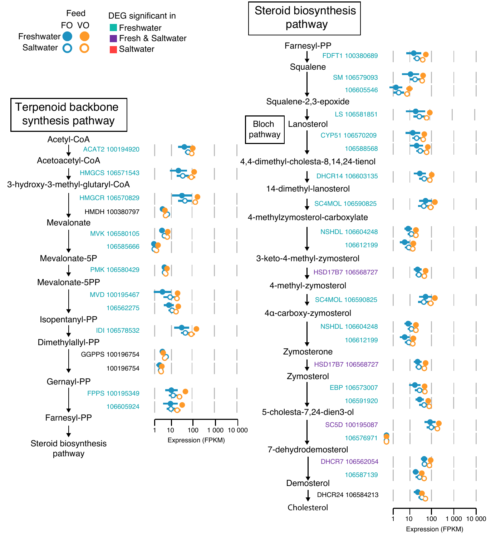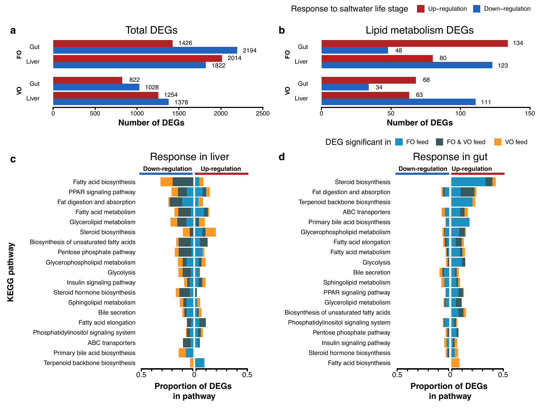

Expression (FPKM)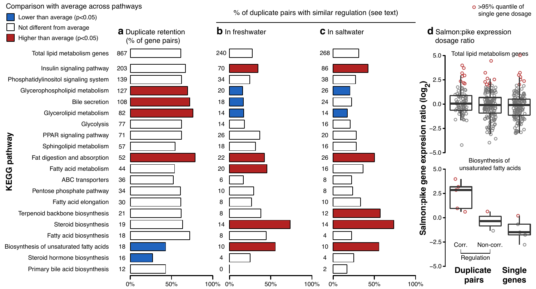Response to saltwater life stage Up−regulation Down-regulation

111

123

134



**in pathway**

**Number of DEGs** DEG significant in FO feed FO & VO feed VO feed **Down-regulation Up-regulation** Response in gut

80

**Proportion of DEGs in pathway**

**KEGG** pathway **KEGG pathway**

**FO**

**VO**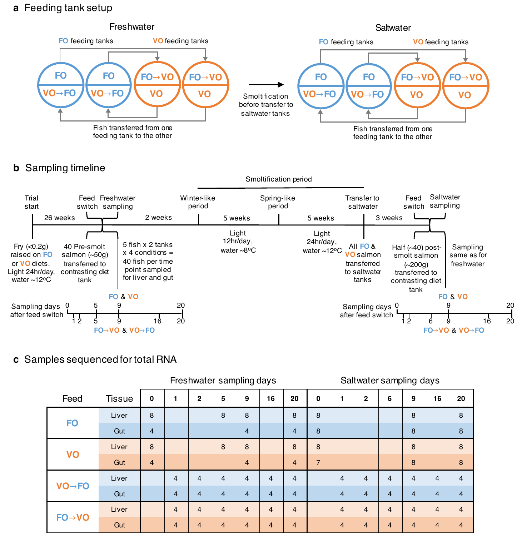#### Comparison with average across pathways







>95% quantile of